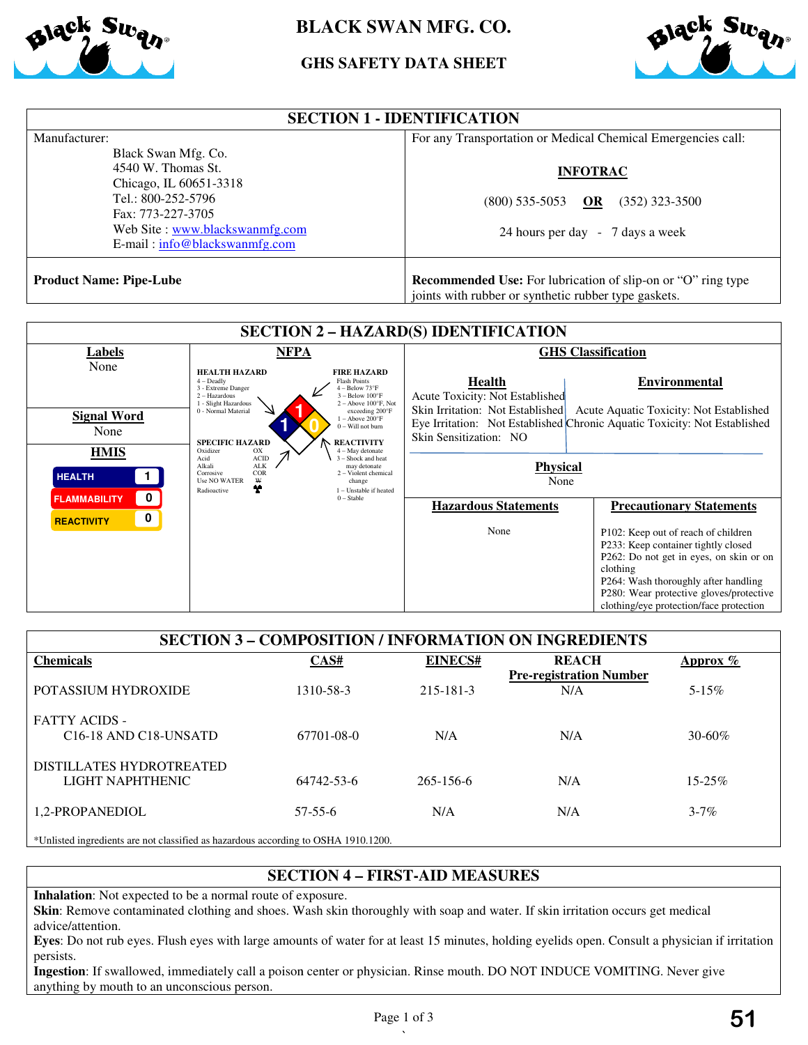

# **BLACK SWAN MFG. CO.**

# **GHS GHS SAFETY DATA SHEET**



| <b>SECTION 1 - IDENTIFICATION</b>  |                                                                     |  |  |  |
|------------------------------------|---------------------------------------------------------------------|--|--|--|
| Manufacturer:                      | For any Transportation or Medical Chemical Emergencies call:        |  |  |  |
| Black Swan Mfg. Co.                |                                                                     |  |  |  |
| 4540 W. Thomas St.                 | <b>INFOTRAC</b>                                                     |  |  |  |
| Chicago, IL 60651-3318             |                                                                     |  |  |  |
| Tel.: 800-252-5796                 | $(352)$ 323-3500<br>$(800)$ 535-5053 OR                             |  |  |  |
| Fax: 773-227-3705                  |                                                                     |  |  |  |
| Web Site: www.blackswanmfg.com     | 24 hours per day - 7 days a week                                    |  |  |  |
| $E$ -mail: $info@blackswannfg.com$ |                                                                     |  |  |  |
| <b>Product Name: Pipe-Lube</b>     | <b>Recommended Use:</b> For lubrication of slip-on or "O" ring type |  |  |  |

joints with rubber or synthetic rubber type gaskets.

**SECTION 2 SECTION – HAZARD(S) IDENTIFICATION Labels** None **NFPA NFPAHEALTH HAZARD FIRE HAZARD AZARD** 4 – Deadly 3 - Extreme Danger 2 – Hazardous 1 - Slight Hazardous 0 - Normal Material **SPECIFIC HAZARD**  Oxidizer  $\overline{OX}$   $\overline{A}$   $\overline{A}$   $\overline{A}$   $\overline{A}$   $\overline{A}$   $\overline{A}$   $\overline{A}$   $\overline{A}$   $\overline{A}$   $\overline{A}$   $\overline{A}$   $\overline{A}$   $\overline{A}$   $\overline{A}$   $\overline{A}$   $\overline{A}$   $\overline{A}$   $\overline{A}$   $\overline{A}$   $\overline{A}$   $\overline{A}$   $\overline{A}$   $\overline$ Alkali ALK may detonate<br>
Alkali ALK may detonate themical<br>
Use NO WATER W Corrosive COR 2 Use NO WATER W Radioactive **Signal Word** None **HMIS 1 1 HEALTH FLAMMABILITY REACTIVITY 1 0 0**  $\sum_{\text{P} = \text{B} = 73^{\circ} \text{F}}$  Flash Points 2 – Hazardous<br>
1 – Slight Hazardous<br>
2 – Above 100°F, Not exceeding 200°F<br>
1 – Above 200°F<br>
1 – Above 200°F<br>
1 – Above 200°F<br>
1 – Above 200°F<br>
1 – Above 200°F  **REACTIVITY**  Oxidizer OX 1 – May detonate<br>Acid – ACID 2 – Shock and heat  $1 -$ Unstable if heated  $0 - Stable$ **GHS Classification GHS Environmental Health**  Acute Toxicity: Not Established Skin Irritation: Not Established Acute Aquatic Toxicity: Not Established Eye Irritation: Not Established Chronic Aquatic Toxicity: Not Established Skin Sensitization: NO  **Physical** None  **Hazardous Statements** None P P102: Keep out of reach of children P233: Keep container tightly closed P262: Do not get in eyes, on skin or on clothing P264: Wash thoroughly after handling P280: Wear protective gloves/protective P280: Wear protective gloves/protective clothing/eye protection/face protection **0 Precautionary Statements** P233: Keep container tightly closed<br>P262: Do not get in eyes, on skin or on<br>clothing<br>P264: Wash thoroughly after handling

| <b>SECTION 3 - COMPOSITION / INFORMATION ON INGREDIENTS</b>             |               |                |                                       |             |  |  |
|-------------------------------------------------------------------------|---------------|----------------|---------------------------------------|-------------|--|--|
| <b>Chemicals</b>                                                        | CAS#          | <b>EINECS#</b> | <b>REACH</b>                          | Approx $\%$ |  |  |
| POTASSIUM HYDROXIDE                                                     | 1310-58-3     | 215-181-3      | <b>Pre-registration Number</b><br>N/A | $5 - 15\%$  |  |  |
| <b>FATTY ACIDS -</b><br>C <sub>16</sub> -18 AND C <sub>18</sub> -UNSATD | 67701-08-0    | N/A            | N/A                                   | $30 - 60\%$ |  |  |
| <b>DISTILLATES HYDROTREATED</b><br>LIGHT NAPHTHENIC                     | 64742-53-6    | 265-156-6      | N/A                                   | $15 - 25\%$ |  |  |
| 1,2-PROPANEDIOL                                                         | $57 - 55 - 6$ | N/A            | N/A                                   | $3 - 7\%$   |  |  |
|                                                                         |               |                |                                       |             |  |  |

\*Unlisted ingredients are not classified as hazardous according to OSHA 1910.1200. classified

# **SECTION 4 – FIRST-AID MEASURES**

**Inhalation**: Not expected to be a normal route of exposure.

Skin: Remove contaminated clothing and shoes. Wash skin thoroughly with soap and water. If skin irritation occurs get medical advice/attention.

Eyes: Do not rub eyes. Flush eyes with large amounts of water for at least 15 minutes, holding eyelids open. Consult a physician if irritation persists. Eyes: Do not rub eyes. Flush eyes with large amounts of water for at least 15 minutes, holding eyelids open. Consult a physician if<br>persists.<br>**Ingestion**: If swallowed, immediately call a poison center or physician. Rinse

anything by mouth to an unconscious person.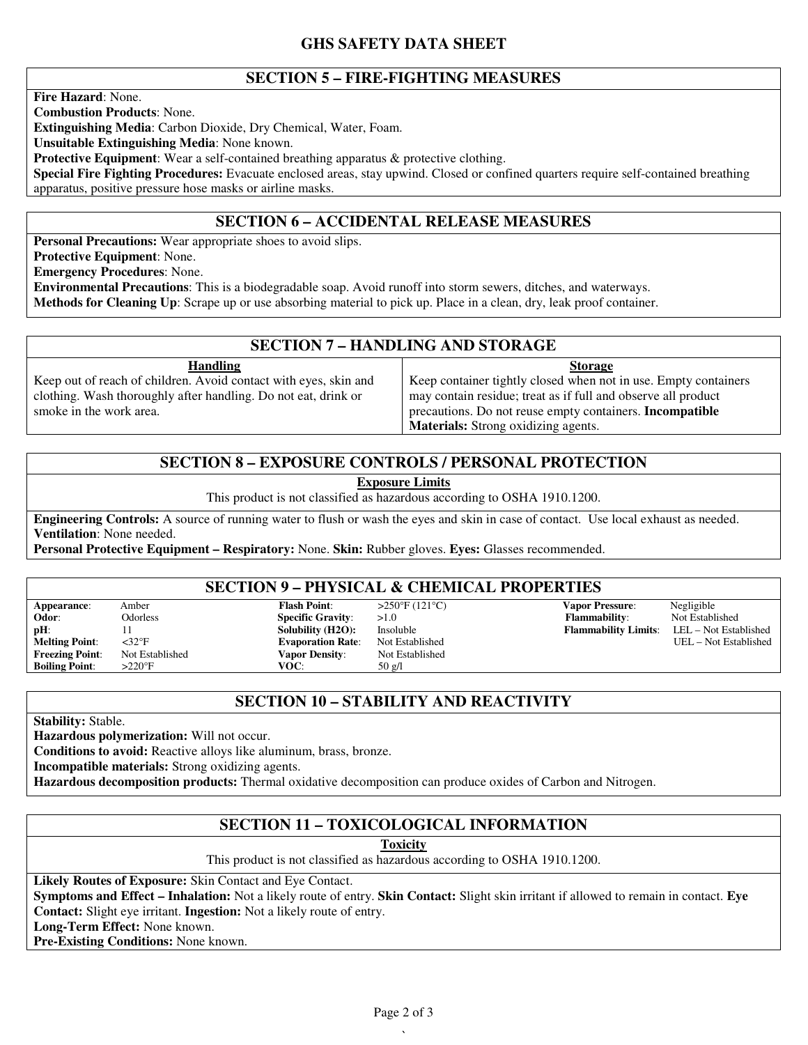# **SECTION 5 – FIRE-FIGHTING MEASURES**

**Fire Hazard**: None.

**Combustion Products**: None.

**Extinguishing Media**: Carbon Dioxide, Dry Chemical, Water, Foam.

**Unsuitable Extinguishing Media**: None known.

**Protective Equipment:** Wear a self-contained breathing apparatus & protective clothing.

**Special Fire Fighting Procedures:** Evacuate enclosed areas, stay upwind. Closed or confined quarters require self-contained breathing apparatus, positive pressure hose masks or airline masks.

# **SECTION 6 – ACCIDENTAL RELEASE MEASURES**

**Personal Precautions:** Wear appropriate shoes to avoid slips.

**Protective Equipment**: None.

**Emergency Procedures**: None.

**Environmental Precautions**: This is a biodegradable soap. Avoid runoff into storm sewers, ditches, and waterways.

**Methods for Cleaning Up**: Scrape up or use absorbing material to pick up. Place in a clean, dry, leak proof container.

# **SECTION 7 – HANDLING AND STORAGE**

**Handling**

Keep out of reach of children. Avoid contact with eyes, skin and clothing. Wash thoroughly after handling. Do not eat, drink or smoke in the work area.

#### **Storage**

Keep container tightly closed when not in use. Empty containers may contain residue; treat as if full and observe all product precautions. Do not reuse empty containers. **Incompatible Materials:** Strong oxidizing agents.

# **SECTION 8 – EXPOSURE CONTROLS / PERSONAL PROTECTION**

#### **Exposure Limits**

This product is not classified as hazardous according to OSHA 1910.1200.

**Engineering Controls:** A source of running water to flush or wash the eyes and skin in case of contact. Use local exhaust as needed. **Ventilation**: None needed.

**Personal Protective Equipment – Respiratory:** None. **Skin:** Rubber gloves. **Eyes:** Glasses recommended.

# **SECTION 9 – PHYSICAL & CHEMICAL PROPERTIES**

**Boiling Point:** 

**Freezing Point:** Not Established **Vapor Density:** Not Established **Roiling Point:**  $>220^{\circ}$ F **VOC:** 50 *ol* 

**Odor**: Odorless **Specific Gravity**: >1.0 **Flammability**: Not Established

**Appearance**: Amber **Flash Point**: >250°F (121°C) **Vapor Pressure**: Negligible

**pH**: 11 1 **Solubility (H2O):** Insoluble **Flammability Limits**: LEL – Not Established<br>Melting Point: <32°F **Flammability Constablished** UEL – Not Established UEL – Not Established **Evaporation Rate:** Not Established UEL – Not Established UEL – Not Established

# **SECTION 10 – STABILITY AND REACTIVITY**

**Stability:** Stable.

**Hazardous polymerization:** Will not occur.

**Conditions to avoid:** Reactive alloys like aluminum, brass, bronze.

**Incompatible materials:** Strong oxidizing agents.

**Hazardous decomposition products:** Thermal oxidative decomposition can produce oxides of Carbon and Nitrogen.

# **SECTION 11 – TOXICOLOGICAL INFORMATION**

**Toxicity**

This product is not classified as hazardous according to OSHA 1910.1200.

**Likely Routes of Exposure:** Skin Contact and Eye Contact.

**Symptoms and Effect – Inhalation:** Not a likely route of entry. **Skin Contact:** Slight skin irritant if allowed to remain in contact. **Eye Contact:** Slight eye irritant. **Ingestion:** Not a likely route of entry.

**Long-Term Effect:** None known.

**Pre-Existing Conditions:** None known.